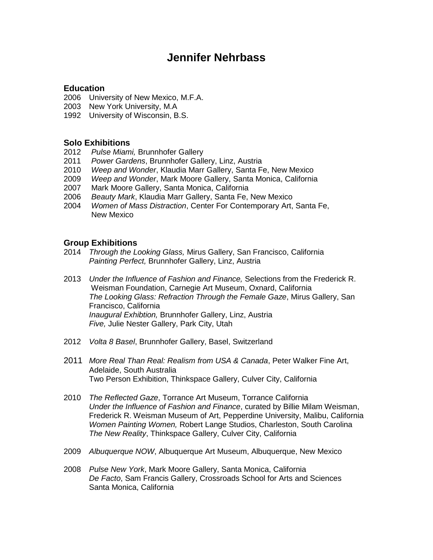# **Jennifer Nehrbass**

## **Education**

- 2006 University of New Mexico, M.F.A.
- 2003 New York University, M.A
- 1992 University of Wisconsin, B.S.

#### **Solo Exhibitions**

- 2012 *Pulse Miami,* Brunnhofer Gallery
- 2011 *Power Gardens*, Brunnhofer Gallery, Linz, Austria
- 2010 *Weep and Wonder*, Klaudia Marr Gallery, Santa Fe, New Mexico
- 2009 *Weep and Wonder*, Mark Moore Gallery, Santa Monica, California
- 2007 Mark Moore Gallery, Santa Monica, California
- 2006 *Beauty Mark*, Klaudia Marr Gallery, Santa Fe, New Mexico
- 2004 *Women of Mass Distraction*, Center For Contemporary Art, Santa Fe, New Mexico

## **Group Exhibitions**

- 2014 *Through the Looking Glass,* Mirus Gallery, San Francisco, California *Painting Perfect,* Brunnhofer Gallery, Linz, Austria
- 2013 *Under the Influence of Fashion and Finance,* Selections from the Frederick R. Weisman Foundation, Carnegie Art Museum, Oxnard, California *The Looking Glass: Refraction Through the Female Gaze*, Mirus Gallery, San Francisco, California *Inaugural Exhibtion,* Brunnhofer Gallery, Linz, Austria *Five,* Julie Nester Gallery, Park City, Utah
- 2012 *Volta 8 Basel*, Brunnhofer Gallery, Basel, Switzerland
- 2011 *More Real Than Real: Realism from USA & Canada*, Peter Walker Fine Art, Adelaide, South Australia Two Person Exhibition, Thinkspace Gallery, Culver City, California
- 2010 *The Reflected Gaze*, Torrance Art Museum, Torrance California *Under the Influence of Fashion and Finance*, curated by Billie Milam Weisman, Frederick R. Weisman Museum of Art, Pepperdine University, Malibu, California *Women Painting Women,* Robert Lange Studios, Charleston, South Carolina *The New Reality*, Thinkspace Gallery, Culver City, California
- 2009 *Albuquerque NOW*, Albuquerque Art Museum, Albuquerque, New Mexico
- 2008 *Pulse New York*, Mark Moore Gallery, Santa Monica, California *De Facto*, Sam Francis Gallery, Crossroads School for Arts and Sciences Santa Monica, California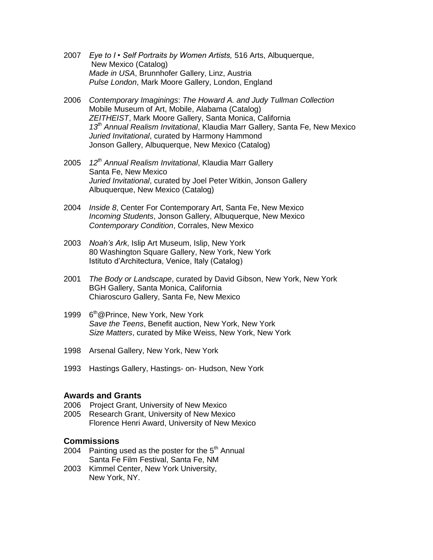- 2007 *Eye to I Self Portraits by Women Artists,* 516 Arts, Albuquerque, New Mexico (Catalog) *Made in USA*, Brunnhofer Gallery, Linz, Austria *Pulse London*, Mark Moore Gallery, London, England
- 2006 *Contemporary Imaginings*: *The Howard A. and Judy Tullman Collection* Mobile Museum of Art, Mobile, Alabama (Catalog) *ZEITHEIST*, Mark Moore Gallery, Santa Monica, California *13th Annual Realism Invitational*, Klaudia Marr Gallery, Santa Fe, New Mexico *Juried Invitational*, curated by Harmony Hammond Jonson Gallery, Albuquerque, New Mexico (Catalog)
- 2005 *12th Annual Realism Invitational*, Klaudia Marr Gallery Santa Fe, New Mexico *Juried Invitational*, curated by Joel Peter Witkin, Jonson Gallery Albuquerque, New Mexico (Catalog)
- 2004 *Inside 8*, Center For Contemporary Art, Santa Fe, New Mexico *Incoming Students*, Jonson Gallery, Albuquerque, New Mexico *Contemporary Condition*, Corrales, New Mexico
- 2003 *Noah's Ark*, Islip Art Museum, Islip, New York 80 Washington Square Gallery, New York, New York Istituto d'Architectura, Venice, Italy (Catalog)
- 2001 *The Body or Landscape*, curated by David Gibson, New York, New York BGH Gallery, Santa Monica, California Chiaroscuro Gallery, Santa Fe, New Mexico
- 1999 6<sup>th</sup>@Prince, New York, New York *Save the Teens*, Benefit auction, New York, New York *Size Matters*, curated by Mike Weiss, New York, New York
- 1998 Arsenal Gallery, New York, New York
- 1993 Hastings Gallery, Hastings- on- Hudson, New York

#### **Awards and Grants**

- 2006 Project Grant, University of New Mexico
- 2005 Research Grant, University of New Mexico Florence Henri Award, University of New Mexico

#### **Commissions**

- 2004 Painting used as the poster for the  $5<sup>th</sup>$  Annual Santa Fe Film Festival, Santa Fe, NM
- 2003 Kimmel Center, New York University, New York, NY.